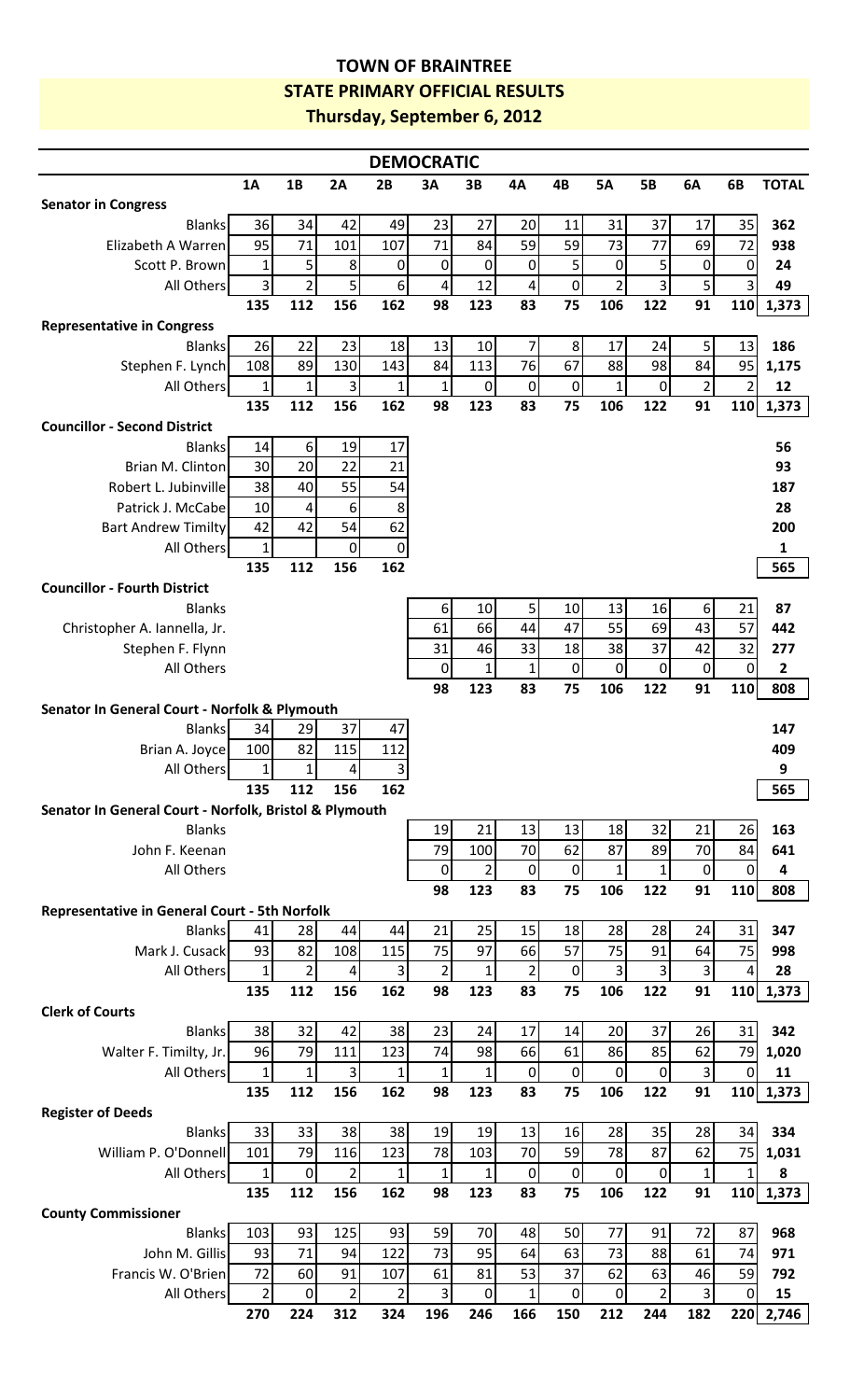## **TOWN OF BRAINTREE STATE PRIMARY OFFICIAL RESULTS Thursday, September 6, 2012**

| <b>DEMOCRATIC</b>                                      |                     |                     |                         |                     |                    |                  |                  |                   |                     |                |                         |                       |              |
|--------------------------------------------------------|---------------------|---------------------|-------------------------|---------------------|--------------------|------------------|------------------|-------------------|---------------------|----------------|-------------------------|-----------------------|--------------|
|                                                        | <b>1A</b>           | 1B                  | 2A                      | 2B                  | 3A                 | 3В               | 4A               | 4B                | <b>5A</b>           | <b>5B</b>      | 6A                      | 6B                    | <b>TOTAL</b> |
| <b>Senator in Congress</b>                             |                     |                     |                         |                     |                    |                  |                  |                   |                     |                |                         |                       |              |
| <b>Blanks</b>                                          | 36                  | 34                  | 42                      | 49                  | 23                 | 27               | 20               | 11                | 31                  | 37             | 17                      | 35                    | 362          |
| Elizabeth A Warren                                     | 95                  | 71                  | 101                     | 107                 | 71                 | 84               | 59               | 59                | 73                  | 77             | 69                      | 72                    | 938          |
| Scott P. Brown                                         | $\mathbf 1$         | 5                   | 8                       | $\boldsymbol{0}$    | $\boldsymbol{0}$   | 0                | 0                | 5                 | 0                   | 5              | $\mathbf 0$             | $\mathbf 0$           | 24           |
| All Others                                             | $\overline{3}$      | $\overline{2}$      | 5                       | $6\,$               | 4                  | 12               | 4                | 0                 | $\overline{2}$      | 3              | $\overline{5}$          | 3                     | 49           |
|                                                        | 135                 | 112                 | 156                     | 162                 | 98                 | 123              | 83               | 75                | 106                 | 122            | 91                      | 110                   | 1,373        |
| <b>Representative in Congress</b>                      |                     |                     |                         |                     |                    |                  |                  |                   |                     |                |                         |                       |              |
| <b>Blanks</b>                                          | 26                  | 22                  | 23                      | 18                  | 13                 | 10               | 7                | 8                 | 17                  | 24             | 5 <sup>1</sup>          | 13                    | 186          |
| Stephen F. Lynch                                       | 108                 | 89                  | 130                     | 143                 | 84                 | 113              | 76               | 67                | 88                  | 98             | 84                      | 95                    | 1,175        |
| All Others                                             | $\mathbf{1}$<br>135 | 1<br>112            | 3<br>156                | $\mathbf{1}$<br>162 | $\mathbf{1}$<br>98 | $\pmb{0}$<br>123 | $\pmb{0}$<br>83  | $\pmb{0}$<br>75   | $\mathbf{1}$<br>106 | 0<br>122       | $\overline{2}$<br>91    | $\overline{2}$<br>110 | 12           |
| <b>Councillor - Second District</b>                    |                     |                     |                         |                     |                    |                  |                  |                   |                     |                |                         |                       | 1,373        |
| <b>Blanks</b>                                          | 14                  | $6 \overline{6}$    | 19                      | 17                  |                    |                  |                  |                   |                     |                |                         |                       | 56           |
| Brian M. Clinton                                       | 30                  | 20                  | 22                      | 21                  |                    |                  |                  |                   |                     |                |                         |                       | 93           |
| Robert L. Jubinville                                   | 38                  | 40                  | 55                      | 54                  |                    |                  |                  |                   |                     |                |                         |                       | 187          |
| Patrick J. McCabe                                      | $10\,$              | 4                   | 6                       | 8                   |                    |                  |                  |                   |                     |                |                         |                       | 28           |
| <b>Bart Andrew Timilty</b>                             | 42                  | 42                  | 54                      | 62                  |                    |                  |                  |                   |                     |                |                         |                       | 200          |
| All Others                                             | $\mathbf{1}$        |                     | $\pmb{0}$               | $\pmb{0}$           |                    |                  |                  |                   |                     |                |                         |                       | $\mathbf{1}$ |
|                                                        | 135                 | 112                 | 156                     | 162                 |                    |                  |                  |                   |                     |                |                         |                       | 565          |
| <b>Councillor - Fourth District</b>                    |                     |                     |                         |                     |                    |                  |                  |                   |                     |                |                         |                       |              |
| <b>Blanks</b>                                          |                     |                     |                         |                     | 6                  | 10               | 5                | 10                | 13                  | 16             | $6 \mid$                | 21                    | 87           |
| Christopher A. Iannella, Jr.                           |                     |                     |                         |                     | 61                 | 66               | 44               | 47                | 55                  | 69             | 43                      | 57                    | 442          |
| Stephen F. Flynn                                       |                     |                     |                         |                     | 31                 | 46               | 33               | 18                | 38                  | 37             | 42                      | 32                    | 277          |
| All Others                                             |                     |                     |                         |                     | $\pmb{0}$          | $\mathbf 1$      | $\mathbf 1$      | $\pmb{0}$         | 0                   | 0              | $\pmb{0}$               | $\mathbf 0$           | $\mathbf{2}$ |
|                                                        |                     |                     |                         |                     | 98                 | 123              | 83               | 75                | 106                 | 122            | 91                      | 110                   | 808          |
| Senator In General Court - Norfolk & Plymouth          |                     |                     |                         |                     |                    |                  |                  |                   |                     |                |                         |                       |              |
| <b>Blanks</b>                                          | 34                  | 29                  | 37                      | 47                  |                    |                  |                  |                   |                     |                |                         |                       | 147          |
| Brian A. Joyce                                         | 100<br>1            | 82<br>1             | 115<br>$\vert$          | 112<br>$\mathbf{R}$ |                    |                  |                  |                   |                     |                |                         |                       | 409<br>9     |
| All Others                                             | 135                 | 112                 | 156                     | 162                 |                    |                  |                  |                   |                     |                |                         |                       | 565          |
| Senator In General Court - Norfolk, Bristol & Plymouth |                     |                     |                         |                     |                    |                  |                  |                   |                     |                |                         |                       |              |
| <b>Blanks</b>                                          |                     |                     |                         |                     | 19                 | 21               | 13               | 13                | 18                  | 32             | 21                      | 26                    | 163          |
| John F. Keenan                                         |                     |                     |                         |                     | 79                 | 100              | 70               | 62                | 87                  | 89             | 70                      | 84                    | 641          |
| All Others                                             |                     |                     |                         |                     | $\mathbf 0$        | $\overline{2}$   | $\boldsymbol{0}$ | $\mathbf 0$       | $\mathbf{1}$        | $\mathbf{1}$   | $\mathbf 0$             | $\overline{0}$        | 4            |
|                                                        |                     |                     |                         |                     | 98                 | 123              | 83               | 75                | 106                 | 122            | 91                      | 110                   | 808          |
| <b>Representative in General Court - 5th Norfolk</b>   |                     |                     |                         |                     |                    |                  |                  |                   |                     |                |                         |                       |              |
| <b>Blanks</b>                                          | 41                  | 28                  | 44                      | 44                  | 21                 | 25               | 15               | 18                | 28                  | 28             | 24                      | 31                    | 347          |
| Mark J. Cusack                                         | 93                  | 82                  | 108                     | 115                 | 75                 | 97               | 66               | 57                | 75                  | 91             | 64                      | 75                    | 998          |
| All Others                                             | $\mathbf{1}$        | $\overline{2}$      | $\overline{4}$          | $\overline{3}$      | $\overline{2}$     | $\mathbf{1}$     | $\overline{2}$   | $\boldsymbol{0}$  | $\overline{3}$      | 3              | $\overline{3}$          | $\overline{4}$        | 28           |
|                                                        | 135                 | 112                 | 156                     | 162                 | 98                 | 123              | 83               | 75                | 106                 | 122            | 91                      | 110                   | 1,373        |
| <b>Clerk of Courts</b>                                 |                     |                     |                         |                     |                    |                  |                  |                   |                     |                |                         |                       |              |
| <b>Blanks</b>                                          | 38                  | 32                  | 42                      | 38                  | 23                 | 24               | 17               | 14                | 20                  | 37             | 26                      | 31                    | 342          |
| Walter F. Timilty, Jr.                                 | 96<br>$1\vert$      | 79                  | 111<br>$\overline{3}$   | 123                 | 74                 | 98<br>1          | 66<br>$\pmb{0}$  | 61                | 86<br>$\pmb{0}$     | 85             | 62<br>$\overline{3}$    | 79<br>$\mathbf 0$     | 1,020        |
| All Others                                             | 135                 | $\mathbf{1}$<br>112 | 156                     | $\mathbf{1}$<br>162 | $\mathbf{1}$<br>98 | 123              | 83               | $\mathbf 0$<br>75 | 106                 | 0<br>122       | 91                      | 110                   | 11<br>1,373  |
| <b>Register of Deeds</b>                               |                     |                     |                         |                     |                    |                  |                  |                   |                     |                |                         |                       |              |
| <b>Blanks</b>                                          | 33                  | 33                  | 38                      | 38                  | 19                 | 19               | 13               | 16                | 28                  | 35             | 28                      | 34                    | 334          |
| William P. O'Donnell                                   | 101                 | 79                  | 116                     | 123                 | 78                 | 103              | 70               | 59                | 78                  | 87             | 62                      | 75                    | 1,031        |
| All Others                                             | $\mathbf{1}$        | $\boldsymbol{0}$    | $\overline{2}$          | $\mathbf{1}$        | $\mathbf{1}$       | $1\vert$         | $\pmb{0}$        | $\pmb{0}$         | $\pmb{0}$           | 0              | $\mathbf{1}$            | $\mathbf{1}$          | 8            |
|                                                        | 135                 | 112                 | 156                     | 162                 | 98                 | 123              | 83               | 75                | 106                 | 122            | 91                      | 110                   | 1,373        |
| <b>County Commissioner</b>                             |                     |                     |                         |                     |                    |                  |                  |                   |                     |                |                         |                       |              |
| <b>Blanks</b>                                          | 103                 | 93                  | 125                     | 93                  | 59                 | 70               | 48               | 50                | 77                  | 91             | 72                      | 87                    | 968          |
| John M. Gillis                                         | 93                  | 71                  | 94                      | 122                 | 73                 | 95               | 64               | 63                | 73                  | 88             | 61                      | 74                    | 971          |
| Francis W. O'Brien                                     | 72                  | 60                  | 91                      | 107                 | 61                 | 81               | 53               | 37                | 62                  | 63             | 46                      | 59                    | 792          |
| All Others                                             | $2\vert$            | $\boldsymbol{0}$    | $\overline{\mathbf{c}}$ | $\overline{2}$      | 3                  | $\overline{0}$   | $\mathbf{1}$     | $\mathbf 0$       | $\pmb{0}$           | $\overline{2}$ | $\overline{\mathbf{3}}$ | $\overline{0}$        | 15           |
|                                                        | 270                 | 224                 | 312                     | 324                 | 196                | 246              | 166              | 150               | 212                 | 244            | 182                     | 220                   | 2,746        |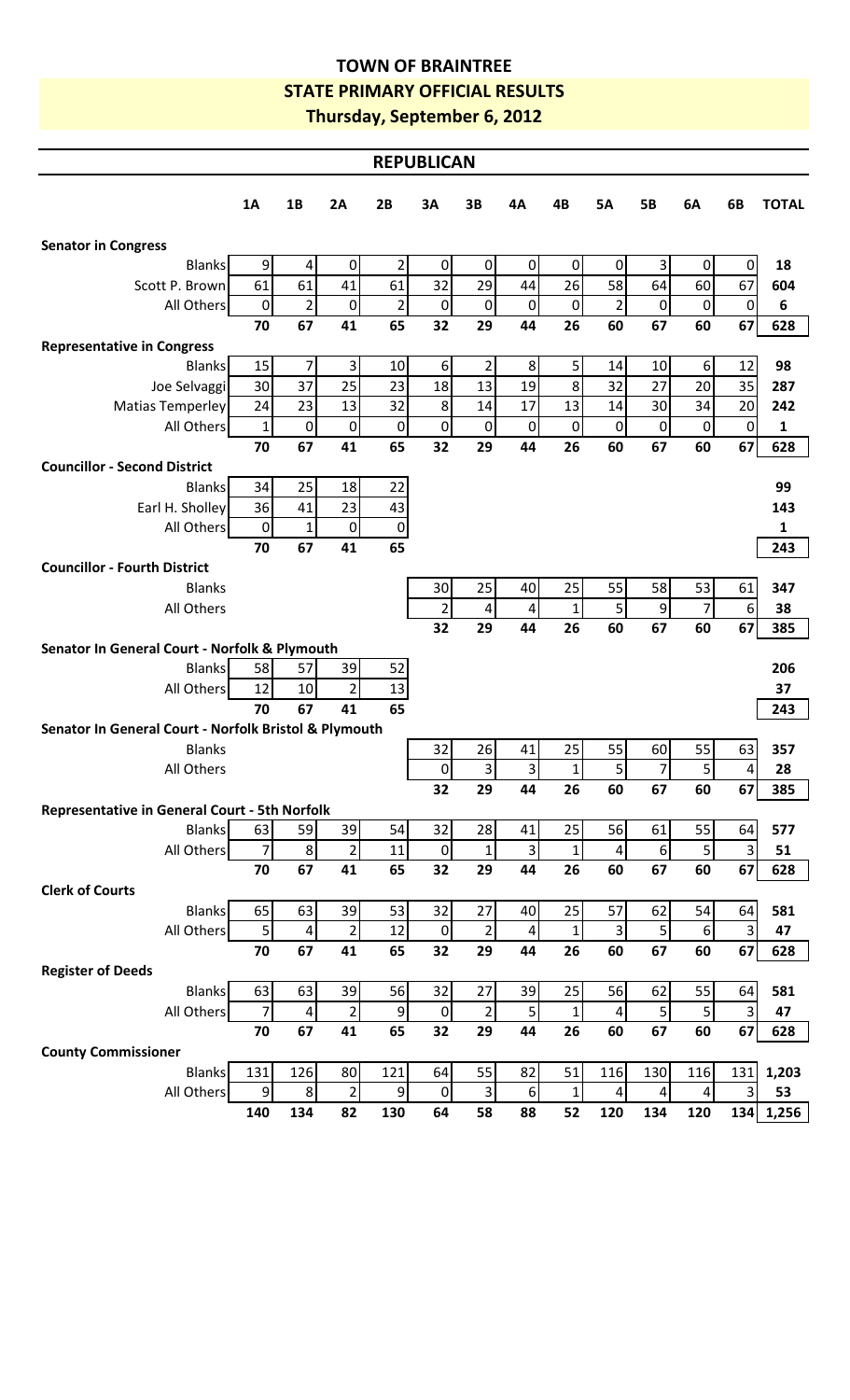## **TOWN OF BRAINTREE STATE PRIMARY OFFICIAL RESULTS Thursday, September 6, 2012**

| <b>REPUBLICAN</b>                                     |                  |                |                  |                |                  |                 |                 |              |                         |                  |                  |                         |              |
|-------------------------------------------------------|------------------|----------------|------------------|----------------|------------------|-----------------|-----------------|--------------|-------------------------|------------------|------------------|-------------------------|--------------|
|                                                       | <b>1A</b>        | 1B             | 2A               | 2B             | 3A               | 3B              | 4A              | 4B           | <b>5A</b>               | <b>5B</b>        | 6A               | 6B                      | <b>TOTAL</b> |
| <b>Senator in Congress</b>                            |                  |                |                  |                |                  |                 |                 |              |                         |                  |                  |                         |              |
| <b>Blanks</b>                                         | $9\,$            | 4              | 0                | $\overline{2}$ | $\boldsymbol{0}$ | 0               | 0               | $\pmb{0}$    | $\mathbf 0$             | 3                | $\overline{0}$   | 0                       | 18           |
| Scott P. Brown                                        | 61               | 61             | 41               | 61             | 32               | 29              | 44              | 26           | 58                      | 64               | 60               | 67                      | 604          |
| All Others                                            | $\boldsymbol{0}$ | $\mathbf 2$    | 0                | $\overline{2}$ | $\boldsymbol{0}$ | $\overline{0}$  | $\pmb{0}$       | $\mathbf 0$  | $\overline{2}$          | 0                | $\pmb{0}$        | $\mathbf 0$             | 6            |
|                                                       | 70               | 67             | 41               | 65             | 32               | 29              | 44              | 26           | 60                      | 67               | 60               | 67                      | 628          |
| <b>Representative in Congress</b>                     |                  |                |                  |                |                  |                 |                 |              |                         |                  |                  |                         |              |
| <b>Blanks</b>                                         | 15               | 7              | $\overline{3}$   | 10             | 6 <sup>1</sup>   | $\overline{2}$  | 8 <sup>1</sup>  | 5            | 14                      | $10\,$           | $6 \overline{6}$ | 12                      | 98           |
| Joe Selvaggi                                          | 30               | 37             | 25               | 23             | 18               | 13              | 19              | 8            | 32                      | 27               | 20               | 35                      | 287          |
| Matias Temperley                                      | 24               | 23             | 13               | 32             | 8 <sup>°</sup>   | 14              | 17              | 13           | 14                      | 30               | 34               | 20                      | 242          |
| All Others                                            | $\mathbf 1$      | $\pmb{0}$      | $\boldsymbol{0}$ | $\pmb{0}$      | 0                | $\overline{0}$  | $\mathbf 0$     | 0            | $\boldsymbol{0}$        | 0                | $\pmb{0}$        | $\mathbf 0$             | 1            |
|                                                       | 70               | 67             | 41               | 65             | 32               | 29              | 44              | 26           | 60                      | 67               | 60               | 67                      | 628          |
| <b>Councillor - Second District</b>                   |                  |                |                  |                |                  |                 |                 |              |                         |                  |                  |                         |              |
| <b>Blanks</b>                                         | 34               | 25             | 18               | 22             |                  |                 |                 |              |                         |                  |                  |                         | 99           |
| Earl H. Sholley                                       | 36               | 41             | 23               | 43             |                  |                 |                 |              |                         |                  |                  |                         | 143          |
| All Others                                            | $\pmb{0}$        | 1              | $\boldsymbol{0}$ | $\pmb{0}$      |                  |                 |                 |              |                         |                  |                  |                         | 1            |
|                                                       | 70               | 67             | 41               | 65             |                  |                 |                 |              |                         |                  |                  |                         | 243          |
| <b>Councillor - Fourth District</b>                   |                  |                |                  |                |                  |                 |                 |              |                         |                  |                  |                         |              |
| <b>Blanks</b>                                         |                  |                |                  |                | 30               | 25              | 40              | 25           | 55                      | 58               | 53               | 61                      | 347          |
| All Others                                            |                  |                |                  |                | $\overline{2}$   | 4               | 4               | $\mathbf{1}$ | 5                       | 9                | $\overline{7}$   | 6 <sup>1</sup>          | 38           |
|                                                       |                  |                |                  |                | 32               | 29              | 44              | 26           | 60                      | 67               | 60               | 67                      | 385          |
| Senator In General Court - Norfolk & Plymouth         |                  |                |                  |                |                  |                 |                 |              |                         |                  |                  |                         |              |
| <b>Blanks</b>                                         | 58               | 57             | 39               | 52             |                  |                 |                 |              |                         |                  |                  |                         | 206          |
| All Others                                            | 12               | 10             | $\overline{2}$   | 13             |                  |                 |                 |              |                         |                  |                  |                         | 37           |
|                                                       | 70               | 67             | 41               | 65             |                  |                 |                 |              |                         |                  |                  |                         | 243          |
| Senator In General Court - Norfolk Bristol & Plymouth |                  |                |                  |                |                  |                 |                 |              |                         |                  |                  |                         |              |
| <b>Blanks</b>                                         |                  |                |                  |                | 32               | 26              | 41              | 25           | 55                      | 60               | 55               | 63                      | 357          |
| All Others                                            |                  |                |                  |                | 0                | 3               | 3               | $1\vert$     | 5 <sub>l</sub>          | 7                | $5 \mid$         | $\vert 4 \vert$         | 28           |
|                                                       |                  |                |                  |                | 32               | 29              | 44              | 26           | 60                      | 67               | 60               | 67                      | 385          |
| <b>Representative in General Court - 5th Norfolk</b>  |                  |                |                  |                |                  |                 |                 |              |                         |                  |                  |                         |              |
| <b>Blanks</b>                                         | 63               | 59             | 39               | 54             | 32               | 28              | 41              | 25           | 56                      | 61               | 55               | 64                      | 577          |
| All Others                                            | $\overline{7}$   | $\bf 8$        | $\overline{2}$   | 11             | $\overline{0}$   | $1\overline{ }$ | $\overline{3}$  | $\mathbf 1$  | 4                       | $\boldsymbol{6}$ | $5\phantom{.}$   | 3                       | 51           |
|                                                       | 70               | 67             | 41               | 65             | 32               | 29              | 44              | 26           | 60                      | 67               | 60               | 67                      | 628          |
| <b>Clerk of Courts</b>                                |                  |                |                  |                |                  |                 |                 |              |                         |                  |                  |                         |              |
| <b>Blanks</b>                                         | 65               | 63             | 39               | 53             | 32               | 27              | 40              | 25           | 57                      | 62               | 54               | 64                      | 581          |
| All Others                                            | 5 <sup>1</sup>   | $\overline{4}$ | $\overline{2}$   | 12             | $\overline{0}$   | $\overline{2}$  | $\vert 4 \vert$ | $\mathbf{1}$ | $\overline{\mathbf{3}}$ | 5                | $6 \overline{6}$ | $\overline{3}$          | 47           |
|                                                       | 70               | 67             | 41               | 65             | 32               | 29              | 44              | 26           | 60                      | 67               | 60               | 67                      | 628          |
| <b>Register of Deeds</b>                              |                  |                |                  |                |                  |                 |                 |              |                         |                  |                  |                         |              |
| <b>Blanks</b>                                         | 63               | 63             | 39               | 56             | 32               | 27              | 39              | 25           | 56                      | 62               | 55               | 64                      | 581          |
| All Others                                            | $\overline{7}$   | 4              | $\overline{2}$   | $9$            | $\boldsymbol{0}$ | 2               | 5 <sup>1</sup>  | $\mathbf 1$  | $\overline{4}$          | 5                | 5 <sup>1</sup>   | $\overline{\mathbf{3}}$ | 47           |
|                                                       | 70               | 67             | 41               | 65             | 32               | 29              | 44              | 26           | 60                      | 67               | 60               | 67                      | 628          |
| <b>County Commissioner</b>                            |                  |                |                  |                |                  |                 |                 |              |                         |                  |                  |                         |              |
| <b>Blanks</b>                                         | 131              | 126            | 80               | 121            | 64               | 55              | 82              | 51           | 116                     | 130              | 116              | 131                     | 1,203        |
| All Others                                            | $\overline{9}$   | 8              | $\overline{2}$   | 9              | $\boldsymbol{0}$ | $\overline{3}$  | $6 \mid$        | $\mathbf 1$  | 4                       | 4                | 4                | 3                       | 53           |
|                                                       | 140              | 134            | 82               | 130            | 64               | 58              | 88              | 52           | 120                     | 134              | 120              | 134                     | 1,256        |